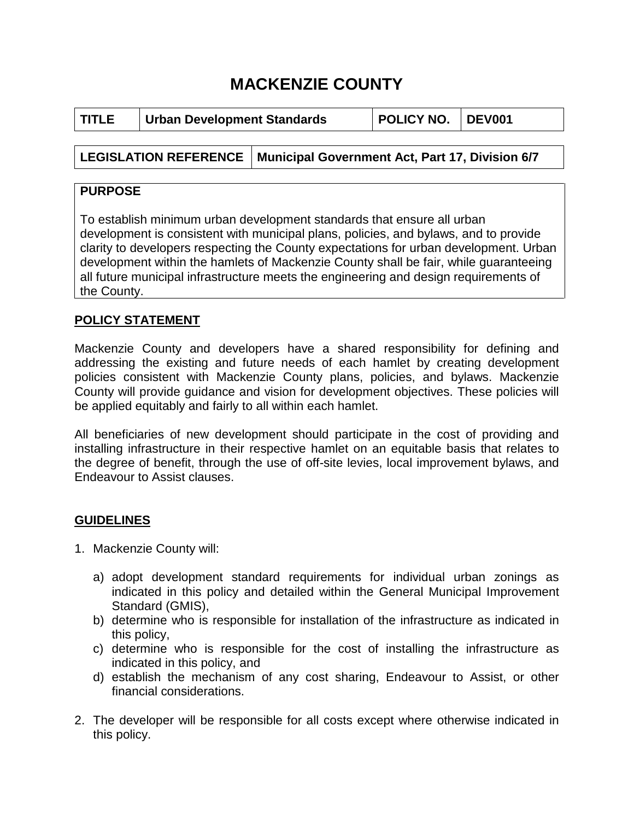# **MACKENZIE COUNTY**

| <b>POLICY NO. DEV001</b><br><b>TITLE</b><br><b>Urban Development Standards</b> |
|--------------------------------------------------------------------------------|
|--------------------------------------------------------------------------------|

# **LEGISLATION REFERENCE Municipal Government Act, Part 17, Division 6/7**

## **PURPOSE**

To establish minimum urban development standards that ensure all urban development is consistent with municipal plans, policies, and bylaws, and to provide clarity to developers respecting the County expectations for urban development. Urban development within the hamlets of Mackenzie County shall be fair, while guaranteeing all future municipal infrastructure meets the engineering and design requirements of the County.

# **POLICY STATEMENT**

Mackenzie County and developers have a shared responsibility for defining and addressing the existing and future needs of each hamlet by creating development policies consistent with Mackenzie County plans, policies, and bylaws. Mackenzie County will provide guidance and vision for development objectives. These policies will be applied equitably and fairly to all within each hamlet.

All beneficiaries of new development should participate in the cost of providing and installing infrastructure in their respective hamlet on an equitable basis that relates to the degree of benefit, through the use of off-site levies, local improvement bylaws, and Endeavour to Assist clauses.

# **GUIDELINES**

- 1. Mackenzie County will:
	- a) adopt development standard requirements for individual urban zonings as indicated in this policy and detailed within the General Municipal Improvement Standard (GMIS),
	- b) determine who is responsible for installation of the infrastructure as indicated in this policy,
	- c) determine who is responsible for the cost of installing the infrastructure as indicated in this policy, and
	- d) establish the mechanism of any cost sharing, Endeavour to Assist, or other financial considerations.
- 2. The developer will be responsible for all costs except where otherwise indicated in this policy.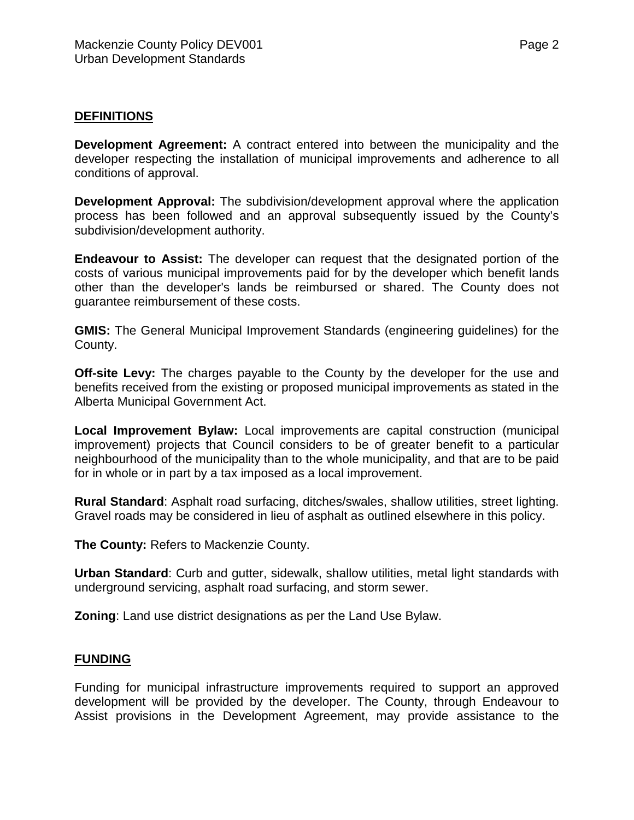## **DEFINITIONS**

**Development Agreement:** A contract entered into between the municipality and the developer respecting the installation of municipal improvements and adherence to all conditions of approval.

**Development Approval:** The subdivision/development approval where the application process has been followed and an approval subsequently issued by the County's subdivision/development authority.

**Endeavour to Assist:** The developer can request that the designated portion of the costs of various municipal improvements paid for by the developer which benefit lands other than the developer's lands be reimbursed or shared. The County does not guarantee reimbursement of these costs.

**GMIS:** The General Municipal Improvement Standards (engineering guidelines) for the County.

**Off-site Levy:** The charges payable to the County by the developer for the use and benefits received from the existing or proposed municipal improvements as stated in the Alberta Municipal Government Act.

**Local Improvement Bylaw:** Local improvements are capital construction (municipal improvement) projects that Council considers to be of greater benefit to a particular neighbourhood of the municipality than to the whole municipality, and that are to be paid for in whole or in part by a tax imposed as a local improvement.

**Rural Standard**: Asphalt road surfacing, ditches/swales, shallow utilities, street lighting. Gravel roads may be considered in lieu of asphalt as outlined elsewhere in this policy.

**The County:** Refers to Mackenzie County.

**Urban Standard**: Curb and gutter, sidewalk, shallow utilities, metal light standards with underground servicing, asphalt road surfacing, and storm sewer.

**Zoning**: Land use district designations as per the Land Use Bylaw.

#### **FUNDING**

Funding for municipal infrastructure improvements required to support an approved development will be provided by the developer. The County, through Endeavour to Assist provisions in the Development Agreement, may provide assistance to the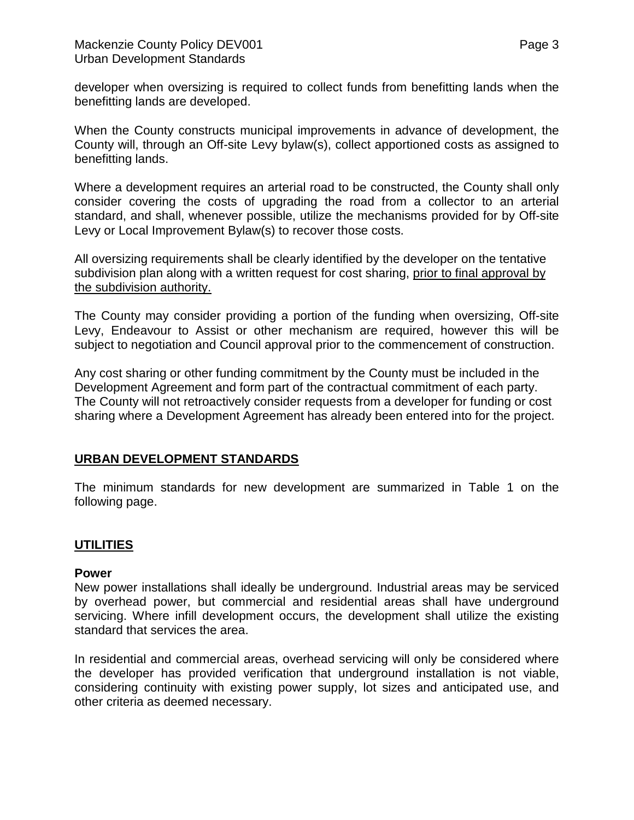developer when oversizing is required to collect funds from benefitting lands when the benefitting lands are developed.

When the County constructs municipal improvements in advance of development, the County will, through an Off-site Levy bylaw(s), collect apportioned costs as assigned to benefitting lands.

Where a development requires an arterial road to be constructed, the County shall only consider covering the costs of upgrading the road from a collector to an arterial standard, and shall, whenever possible, utilize the mechanisms provided for by Off-site Levy or Local Improvement Bylaw(s) to recover those costs.

All oversizing requirements shall be clearly identified by the developer on the tentative subdivision plan along with a written request for cost sharing, prior to final approval by the subdivision authority.

The County may consider providing a portion of the funding when oversizing, Off-site Levy, Endeavour to Assist or other mechanism are required, however this will be subject to negotiation and Council approval prior to the commencement of construction.

Any cost sharing or other funding commitment by the County must be included in the Development Agreement and form part of the contractual commitment of each party. The County will not retroactively consider requests from a developer for funding or cost sharing where a Development Agreement has already been entered into for the project.

## **URBAN DEVELOPMENT STANDARDS**

The minimum standards for new development are summarized in Table 1 on the following page.

## **UTILITIES**

#### **Power**

New power installations shall ideally be underground. Industrial areas may be serviced by overhead power, but commercial and residential areas shall have underground servicing. Where infill development occurs, the development shall utilize the existing standard that services the area.

In residential and commercial areas, overhead servicing will only be considered where the developer has provided verification that underground installation is not viable, considering continuity with existing power supply, lot sizes and anticipated use, and other criteria as deemed necessary.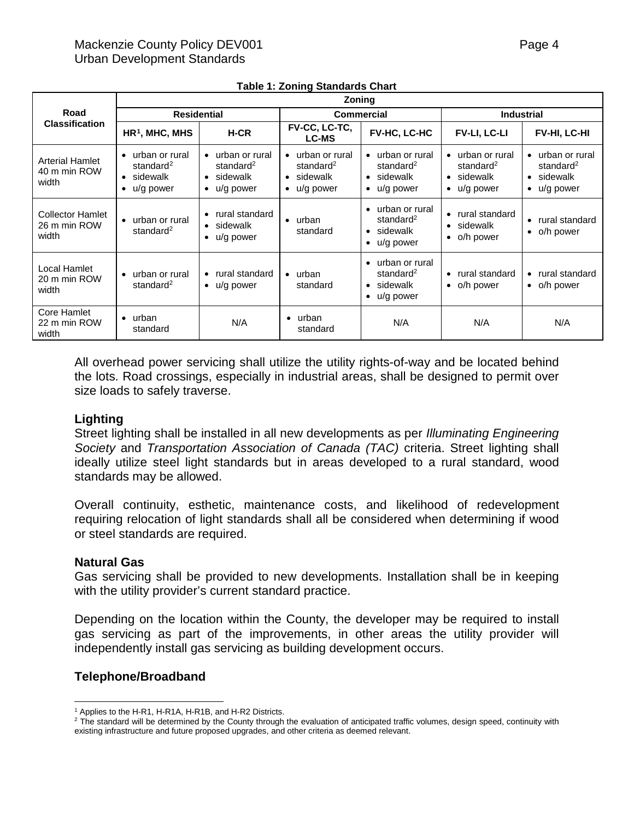|                                                  | <b>Zoning</b>                                                                  |                                                                                        |                                                                                                         |                                                                                            |                                                                                        |                                                                                                         |  |  |
|--------------------------------------------------|--------------------------------------------------------------------------------|----------------------------------------------------------------------------------------|---------------------------------------------------------------------------------------------------------|--------------------------------------------------------------------------------------------|----------------------------------------------------------------------------------------|---------------------------------------------------------------------------------------------------------|--|--|
| Road                                             | <b>Residential</b>                                                             |                                                                                        | <b>Commercial</b>                                                                                       |                                                                                            | <b>Industrial</b>                                                                      |                                                                                                         |  |  |
| <b>Classification</b>                            | $HR1$ , MHC, MHS                                                               | H-CR                                                                                   | <b>FV-CC, LC-TC,</b><br><b>LC-MS</b>                                                                    | FV-HC, LC-HC                                                                               | FV-LI, LC-LI                                                                           | FV-HI, LC-HI                                                                                            |  |  |
| <b>Arterial Hamlet</b><br>40 m min ROW<br>width  | • urban or rural<br>standard <sup>2</sup><br>• sidewalk<br>$\bullet$ u/g power | • urban or rural<br>standard <sup>2</sup><br>$\bullet$ sidewalk<br>$\bullet$ u/g power | urban or rural<br>$\bullet$<br>standard <sup>2</sup><br>sidewalk<br>$\bullet$<br>u/g power<br>$\bullet$ | urban or rural<br>standard <sup>2</sup><br>sidewalk<br>$\bullet$<br>u/g power<br>٠         | • urban or rural<br>standard <sup>2</sup><br>$\bullet$ sidewalk<br>$\bullet$ u/g power | urban or rural<br>$\bullet$<br>standard <sup>2</sup><br>sidewalk<br>$\bullet$<br>u/g power<br>$\bullet$ |  |  |
| <b>Collector Hamlet</b><br>26 m min ROW<br>width | • urban or rural<br>standard <sup>2</sup>                                      | • rural standard<br>$\bullet$ sidewalk<br>$\bullet$ u/g power                          | urban<br>$\bullet$<br>standard                                                                          | urban or rural<br>standard <sup>2</sup><br>sidewalk<br>$\bullet$<br>u/g power<br>$\bullet$ | rural standard<br>$\bullet$<br>$\bullet$ sidewalk<br>$\bullet$ o/h power               | rural standard<br>$\bullet$<br>o/h power<br>$\bullet$                                                   |  |  |
| Local Hamlet<br>20 m min ROW<br>width            | • urban or rural<br>standard <sup>2</sup>                                      | • rural standard<br>$\bullet$ u/g power                                                | urban<br>$\bullet$<br>standard                                                                          | urban or rural<br>standard <sup>2</sup><br>sidewalk<br>$\bullet$<br>u/g power<br>$\bullet$ | rural standard<br>$\bullet$<br>$\bullet$ o/h power                                     | rural standard<br>$\bullet$<br>o/h power<br>$\bullet$                                                   |  |  |
| Core Hamlet<br>22 m min ROW<br>width             | $\bullet$ urban<br>standard                                                    | N/A                                                                                    | urban<br>$\bullet$<br>standard                                                                          | N/A                                                                                        | N/A                                                                                    | N/A                                                                                                     |  |  |

|  |  |  | <b>Table 1: Zoning Standards Chart</b> |  |
|--|--|--|----------------------------------------|--|
|--|--|--|----------------------------------------|--|

All overhead power servicing shall utilize the utility rights-of-way and be located behind the lots. Road crossings, especially in industrial areas, shall be designed to permit over size loads to safely traverse.

#### **Lighting**

Street lighting shall be installed in all new developments as per *Illuminating Engineering Society* and *Transportation Association of Canada (TAC)* criteria. Street lighting shall ideally utilize steel light standards but in areas developed to a rural standard, wood standards may be allowed.

Overall continuity, esthetic, maintenance costs, and likelihood of redevelopment requiring relocation of light standards shall all be considered when determining if wood or steel standards are required.

#### **Natural Gas**

Gas servicing shall be provided to new developments. Installation shall be in keeping with the utility provider's current standard practice.

Depending on the location within the County, the developer may be required to install gas servicing as part of the improvements, in other areas the utility provider will independently install gas servicing as building development occurs.

#### **Telephone/Broadband**

 $\overline{a}$ <sup>1</sup> Applies to the H-R1, H-R1A, H-R1B, and H-R2 Districts.

<span id="page-3-1"></span><span id="page-3-0"></span><sup>&</sup>lt;sup>2</sup> The standard will be determined by the County through the evaluation of anticipated traffic volumes, design speed, continuity with existing infrastructure and future proposed upgrades, and other criteria as deemed relevant.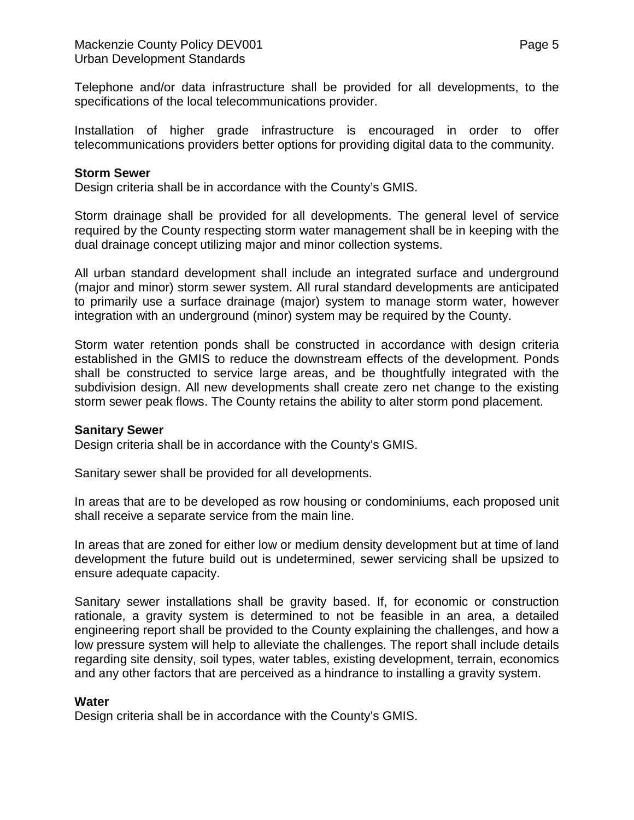Telephone and/or data infrastructure shall be provided for all developments, to the specifications of the local telecommunications provider.

Installation of higher grade infrastructure is encouraged in order to offer telecommunications providers better options for providing digital data to the community.

#### **Storm Sewer**

Design criteria shall be in accordance with the County's GMIS.

Storm drainage shall be provided for all developments. The general level of service required by the County respecting storm water management shall be in keeping with the dual drainage concept utilizing major and minor collection systems.

All urban standard development shall include an integrated surface and underground (major and minor) storm sewer system. All rural standard developments are anticipated to primarily use a surface drainage (major) system to manage storm water, however integration with an underground (minor) system may be required by the County.

Storm water retention ponds shall be constructed in accordance with design criteria established in the GMIS to reduce the downstream effects of the development. Ponds shall be constructed to service large areas, and be thoughtfully integrated with the subdivision design. All new developments shall create zero net change to the existing storm sewer peak flows. The County retains the ability to alter storm pond placement.

#### **Sanitary Sewer**

Design criteria shall be in accordance with the County's GMIS.

Sanitary sewer shall be provided for all developments.

In areas that are to be developed as row housing or condominiums, each proposed unit shall receive a separate service from the main line.

In areas that are zoned for either low or medium density development but at time of land development the future build out is undetermined, sewer servicing shall be upsized to ensure adequate capacity.

Sanitary sewer installations shall be gravity based. If, for economic or construction rationale, a gravity system is determined to not be feasible in an area, a detailed engineering report shall be provided to the County explaining the challenges, and how a low pressure system will help to alleviate the challenges. The report shall include details regarding site density, soil types, water tables, existing development, terrain, economics and any other factors that are perceived as a hindrance to installing a gravity system.

#### **Water**

Design criteria shall be in accordance with the County's GMIS.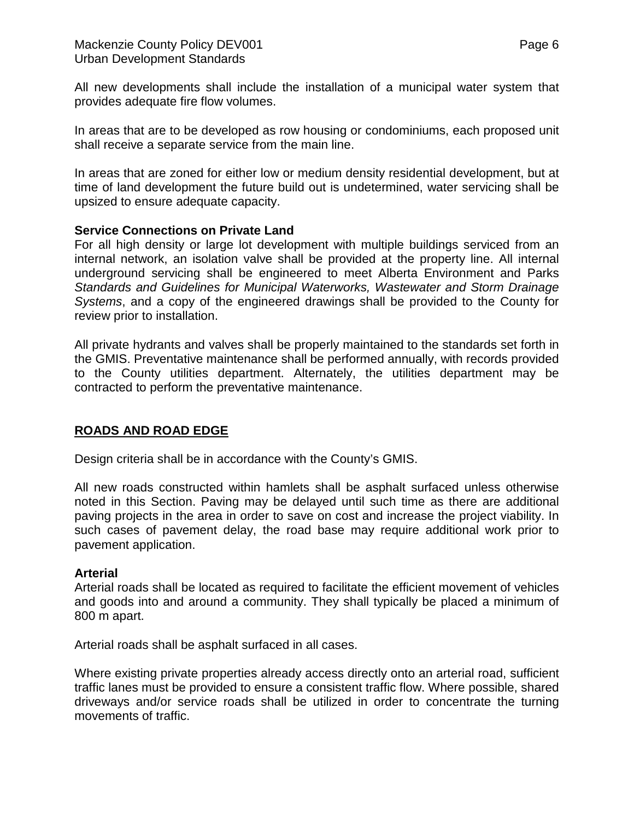All new developments shall include the installation of a municipal water system that provides adequate fire flow volumes.

In areas that are to be developed as row housing or condominiums, each proposed unit shall receive a separate service from the main line.

In areas that are zoned for either low or medium density residential development, but at time of land development the future build out is undetermined, water servicing shall be upsized to ensure adequate capacity.

## **Service Connections on Private Land**

For all high density or large lot development with multiple buildings serviced from an internal network, an isolation valve shall be provided at the property line. All internal underground servicing shall be engineered to meet Alberta Environment and Parks *Standards and Guidelines for Municipal Waterworks, Wastewater and Storm Drainage Systems*, and a copy of the engineered drawings shall be provided to the County for review prior to installation.

All private hydrants and valves shall be properly maintained to the standards set forth in the GMIS. Preventative maintenance shall be performed annually, with records provided to the County utilities department. Alternately, the utilities department may be contracted to perform the preventative maintenance.

## **ROADS AND ROAD EDGE**

Design criteria shall be in accordance with the County's GMIS.

All new roads constructed within hamlets shall be asphalt surfaced unless otherwise noted in this Section. Paving may be delayed until such time as there are additional paving projects in the area in order to save on cost and increase the project viability. In such cases of pavement delay, the road base may require additional work prior to pavement application.

#### **Arterial**

Arterial roads shall be located as required to facilitate the efficient movement of vehicles and goods into and around a community. They shall typically be placed a minimum of 800 m apart.

Arterial roads shall be asphalt surfaced in all cases.

Where existing private properties already access directly onto an arterial road, sufficient traffic lanes must be provided to ensure a consistent traffic flow. Where possible, shared driveways and/or service roads shall be utilized in order to concentrate the turning movements of traffic.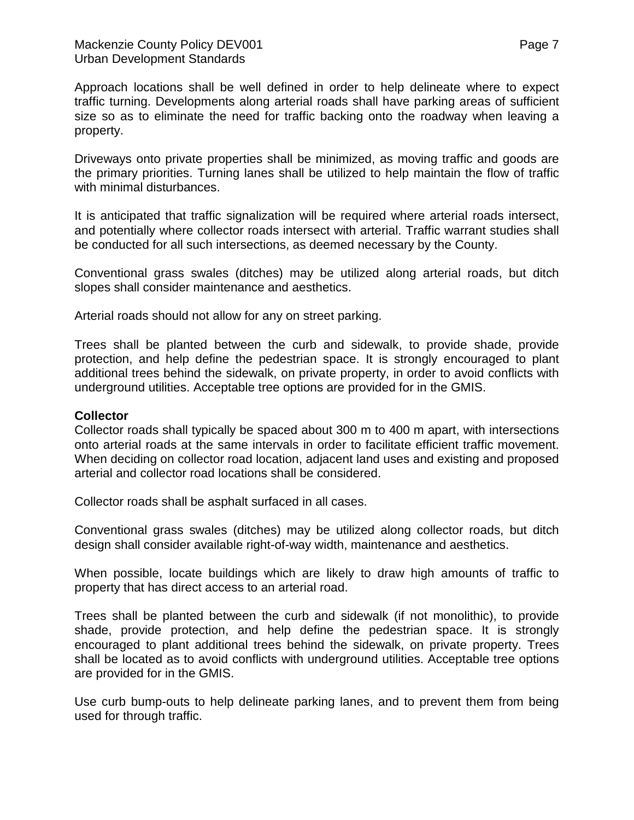Approach locations shall be well defined in order to help delineate where to expect traffic turning. Developments along arterial roads shall have parking areas of sufficient size so as to eliminate the need for traffic backing onto the roadway when leaving a property.

Driveways onto private properties shall be minimized, as moving traffic and goods are the primary priorities. Turning lanes shall be utilized to help maintain the flow of traffic with minimal disturbances.

It is anticipated that traffic signalization will be required where arterial roads intersect, and potentially where collector roads intersect with arterial. Traffic warrant studies shall be conducted for all such intersections, as deemed necessary by the County.

Conventional grass swales (ditches) may be utilized along arterial roads, but ditch slopes shall consider maintenance and aesthetics.

Arterial roads should not allow for any on street parking.

Trees shall be planted between the curb and sidewalk, to provide shade, provide protection, and help define the pedestrian space. It is strongly encouraged to plant additional trees behind the sidewalk, on private property, in order to avoid conflicts with underground utilities. Acceptable tree options are provided for in the GMIS.

#### **Collector**

Collector roads shall typically be spaced about 300 m to 400 m apart, with intersections onto arterial roads at the same intervals in order to facilitate efficient traffic movement. When deciding on collector road location, adjacent land uses and existing and proposed arterial and collector road locations shall be considered.

Collector roads shall be asphalt surfaced in all cases.

Conventional grass swales (ditches) may be utilized along collector roads, but ditch design shall consider available right-of-way width, maintenance and aesthetics.

When possible, locate buildings which are likely to draw high amounts of traffic to property that has direct access to an arterial road.

Trees shall be planted between the curb and sidewalk (if not monolithic), to provide shade, provide protection, and help define the pedestrian space. It is strongly encouraged to plant additional trees behind the sidewalk, on private property. Trees shall be located as to avoid conflicts with underground utilities. Acceptable tree options are provided for in the GMIS.

Use curb bump-outs to help delineate parking lanes, and to prevent them from being used for through traffic.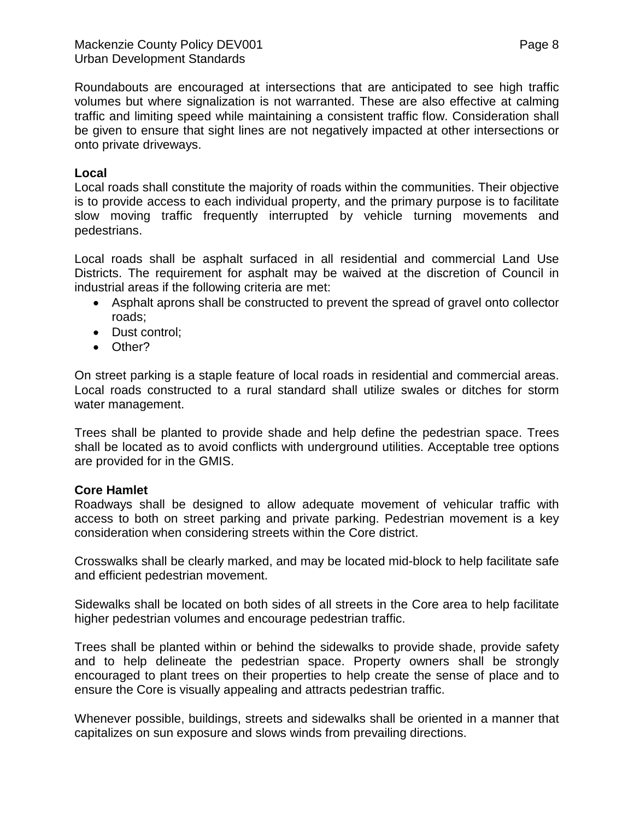Roundabouts are encouraged at intersections that are anticipated to see high traffic volumes but where signalization is not warranted. These are also effective at calming traffic and limiting speed while maintaining a consistent traffic flow. Consideration shall be given to ensure that sight lines are not negatively impacted at other intersections or onto private driveways.

## **Local**

Local roads shall constitute the majority of roads within the communities. Their objective is to provide access to each individual property, and the primary purpose is to facilitate slow moving traffic frequently interrupted by vehicle turning movements and pedestrians.

Local roads shall be asphalt surfaced in all residential and commercial Land Use Districts. The requirement for asphalt may be waived at the discretion of Council in industrial areas if the following criteria are met:

- Asphalt aprons shall be constructed to prevent the spread of gravel onto collector roads;
- Dust control;
- Other?

On street parking is a staple feature of local roads in residential and commercial areas. Local roads constructed to a rural standard shall utilize swales or ditches for storm water management.

Trees shall be planted to provide shade and help define the pedestrian space. Trees shall be located as to avoid conflicts with underground utilities. Acceptable tree options are provided for in the GMIS.

## **Core Hamlet**

Roadways shall be designed to allow adequate movement of vehicular traffic with access to both on street parking and private parking. Pedestrian movement is a key consideration when considering streets within the Core district.

Crosswalks shall be clearly marked, and may be located mid-block to help facilitate safe and efficient pedestrian movement.

Sidewalks shall be located on both sides of all streets in the Core area to help facilitate higher pedestrian volumes and encourage pedestrian traffic.

Trees shall be planted within or behind the sidewalks to provide shade, provide safety and to help delineate the pedestrian space. Property owners shall be strongly encouraged to plant trees on their properties to help create the sense of place and to ensure the Core is visually appealing and attracts pedestrian traffic.

Whenever possible, buildings, streets and sidewalks shall be oriented in a manner that capitalizes on sun exposure and slows winds from prevailing directions.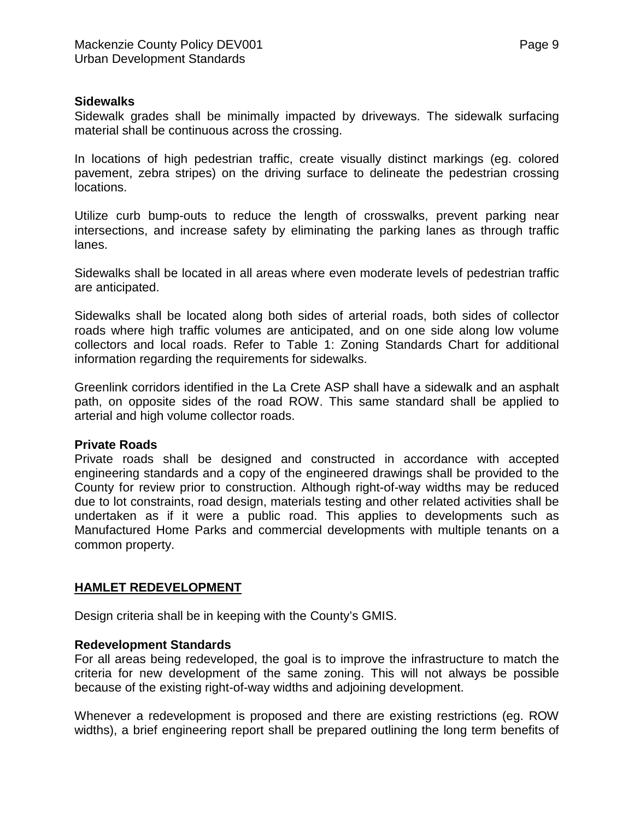#### **Sidewalks**

Sidewalk grades shall be minimally impacted by driveways. The sidewalk surfacing material shall be continuous across the crossing.

In locations of high pedestrian traffic, create visually distinct markings (eg. colored pavement, zebra stripes) on the driving surface to delineate the pedestrian crossing locations.

Utilize curb bump-outs to reduce the length of crosswalks, prevent parking near intersections, and increase safety by eliminating the parking lanes as through traffic lanes.

Sidewalks shall be located in all areas where even moderate levels of pedestrian traffic are anticipated.

Sidewalks shall be located along both sides of arterial roads, both sides of collector roads where high traffic volumes are anticipated, and on one side along low volume collectors and local roads. Refer to Table 1: Zoning Standards Chart for additional information regarding the requirements for sidewalks.

Greenlink corridors identified in the La Crete ASP shall have a sidewalk and an asphalt path, on opposite sides of the road ROW. This same standard shall be applied to arterial and high volume collector roads.

#### **Private Roads**

Private roads shall be designed and constructed in accordance with accepted engineering standards and a copy of the engineered drawings shall be provided to the County for review prior to construction. Although right-of-way widths may be reduced due to lot constraints, road design, materials testing and other related activities shall be undertaken as if it were a public road. This applies to developments such as Manufactured Home Parks and commercial developments with multiple tenants on a common property.

#### **HAMLET REDEVELOPMENT**

Design criteria shall be in keeping with the County's GMIS.

#### **Redevelopment Standards**

For all areas being redeveloped, the goal is to improve the infrastructure to match the criteria for new development of the same zoning. This will not always be possible because of the existing right-of-way widths and adjoining development.

Whenever a redevelopment is proposed and there are existing restrictions (eg. ROW widths), a brief engineering report shall be prepared outlining the long term benefits of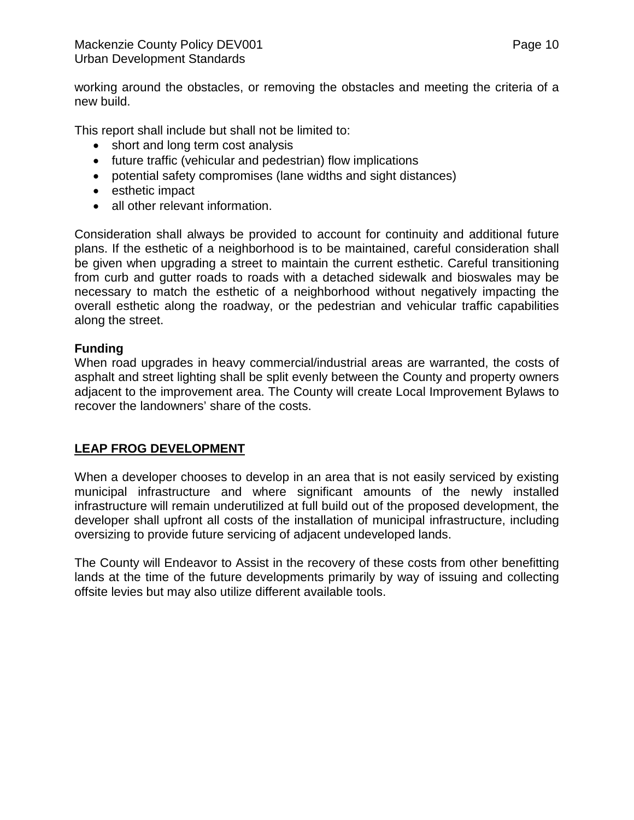working around the obstacles, or removing the obstacles and meeting the criteria of a new build.

This report shall include but shall not be limited to:

- short and long term cost analysis
- future traffic (vehicular and pedestrian) flow implications
- potential safety compromises (lane widths and sight distances)
- esthetic impact
- all other relevant information.

Consideration shall always be provided to account for continuity and additional future plans. If the esthetic of a neighborhood is to be maintained, careful consideration shall be given when upgrading a street to maintain the current esthetic. Careful transitioning from curb and gutter roads to roads with a detached sidewalk and bioswales may be necessary to match the esthetic of a neighborhood without negatively impacting the overall esthetic along the roadway, or the pedestrian and vehicular traffic capabilities along the street.

## **Funding**

When road upgrades in heavy commercial/industrial areas are warranted, the costs of asphalt and street lighting shall be split evenly between the County and property owners adjacent to the improvement area. The County will create Local Improvement Bylaws to recover the landowners' share of the costs.

# **LEAP FROG DEVELOPMENT**

When a developer chooses to develop in an area that is not easily serviced by existing municipal infrastructure and where significant amounts of the newly installed infrastructure will remain underutilized at full build out of the proposed development, the developer shall upfront all costs of the installation of municipal infrastructure, including oversizing to provide future servicing of adjacent undeveloped lands.

The County will Endeavor to Assist in the recovery of these costs from other benefitting lands at the time of the future developments primarily by way of issuing and collecting offsite levies but may also utilize different available tools.